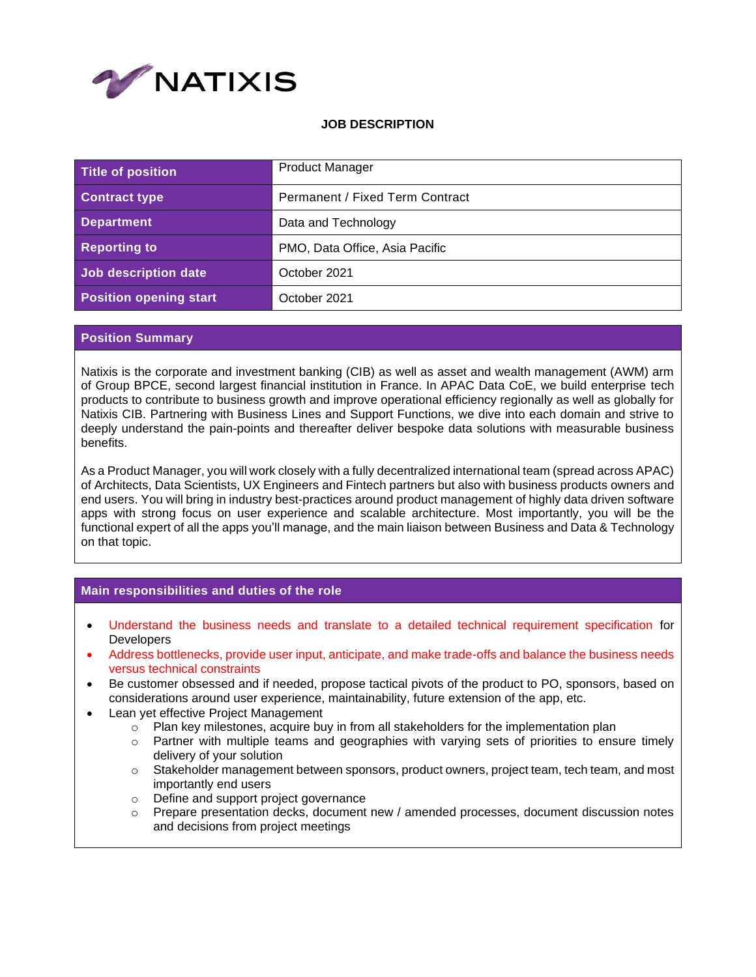

## **JOB DESCRIPTION**

| Title of position             | <b>Product Manager</b>          |
|-------------------------------|---------------------------------|
| <b>Contract type</b>          | Permanent / Fixed Term Contract |
| <b>Department</b>             | Data and Technology             |
| <b>Reporting to</b>           | PMO, Data Office, Asia Pacific  |
| Job description date          | October 2021                    |
| <b>Position opening start</b> | October 2021                    |

## **Position Summary**

Natixis is the corporate and investment banking (CIB) as well as asset and wealth management (AWM) arm of Group BPCE, second largest financial institution in France. In APAC Data CoE, we build enterprise tech products to contribute to business growth and improve operational efficiency regionally as well as globally for Natixis CIB. Partnering with Business Lines and Support Functions, we dive into each domain and strive to deeply understand the pain-points and thereafter deliver bespoke data solutions with measurable business benefits.

As a Product Manager, you will work closely with a fully decentralized international team (spread across APAC) of Architects, Data Scientists, UX Engineers and Fintech partners but also with business products owners and end users. You will bring in industry best-practices around product management of highly data driven software apps with strong focus on user experience and scalable architecture. Most importantly, you will be the functional expert of all the apps you'll manage, and the main liaison between Business and Data & Technology on that topic.

## **Main responsibilities and duties of the role**

- Understand the business needs and translate to a detailed technical requirement specification for **Developers**
- Address bottlenecks, provide user input, anticipate, and make trade-offs and balance the business needs versus technical constraints
- Be customer obsessed and if needed, propose tactical pivots of the product to PO, sponsors, based on considerations around user experience, maintainability, future extension of the app, etc.
- Lean yet effective Project Management
	- $\circ$  Plan key milestones, acquire buy in from all stakeholders for the implementation plan
	- $\circ$  Partner with multiple teams and geographies with varying sets of priorities to ensure timely delivery of your solution
	- o Stakeholder management between sponsors, product owners, project team, tech team, and most importantly end users
	- o Define and support project governance
	- $\circ$  Prepare presentation decks, document new / amended processes, document discussion notes and decisions from project meetings